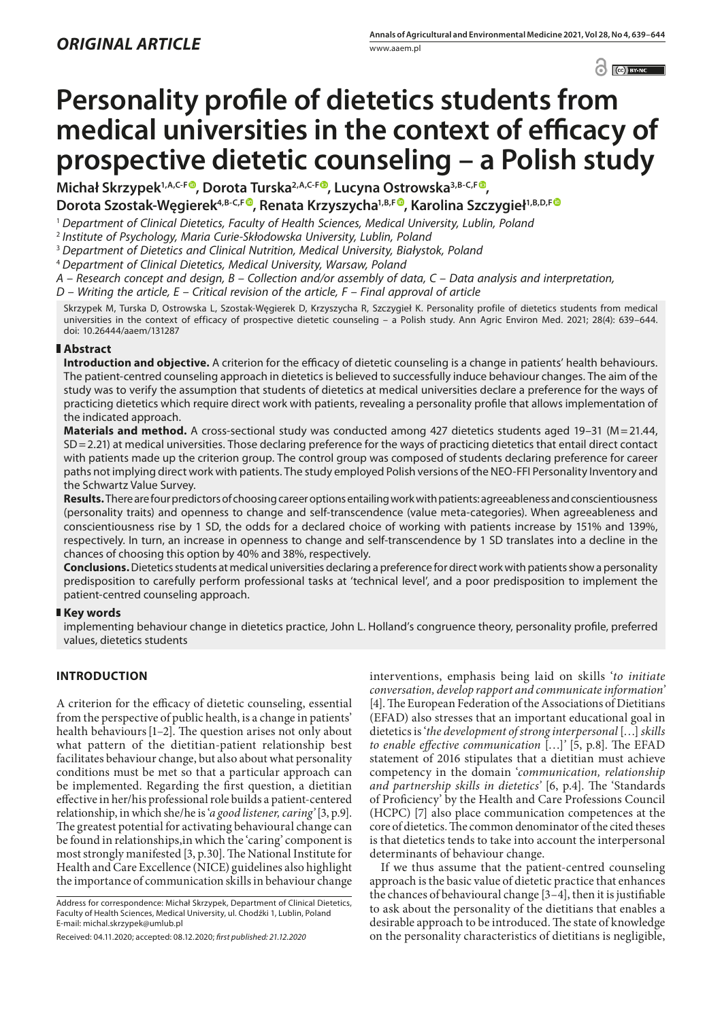$\bigcirc$   $\bigcirc$   $\bigcirc$  BY-NC  $\bigcirc$ 

# **Personality profile of dietetics students from medical universities in the context of efficacy of prospective dietetic counseling – a Polish study**

Michał Skrzypek<sup>1[,](https://orcid.org/0000-0003-4258-9987)A,C-F®</sup>, Dorota Turska<sup>2,A,C-F®</sup>, Lucyna Ostrowska<sup>3,B-C,F®</sup>, Dorota Szostak-Węgierek<sup>4[,](https://orcid.org/0000-0002-5265-8176)B-C,F®</sup>, Renata Krzyszycha<sup>1,B,F®</sup>, Karolina Szczygieł<sup>1,B,D,F®</sup>

<sup>1</sup> *Department of Clinical Dietetics, Faculty of Health Sciences, Medical University, Lublin, Poland*

<sup>2</sup> *Institute of Psychology, Maria Curie-Skłodowska University, Lublin, Poland*

<sup>3</sup> *Department of Dietetics and Clinical Nutrition, Medical University, Białystok, Poland*

<sup>4</sup> *Department of Clinical Dietetics, Medical University, Warsaw, Poland*

*A – Research concept and design, B – Collection and/or assembly of data, C – Data analysis and interpretation,* 

*D – Writing the article, E – Critical revision of the article, F – Final approval of article*

Skrzypek M, Turska D, Ostrowska L, Szostak-Węgierek D, Krzyszycha R, Szczygieł K. Personality profile of dietetics students from medical universities in the context of efficacy of prospective dietetic counseling – a Polish study. Ann Agric Environ Med. 2021; 28(4): 639–644. doi: 10.26444/aaem/131287

# **Abstract**

**Introduction and objective.** A criterion for the efficacy of dietetic counseling is a change in patients' health behaviours. The patient-centred counseling approach in dietetics is believed to successfully induce behaviour changes. The aim of the study was to verify the assumption that students of dietetics at medical universities declare a preference for the ways of practicing dietetics which require direct work with patients, revealing a personality profile that allows implementation of the indicated approach.

**Materials and method.** A cross-sectional study was conducted among 427 dietetics students aged 19-31 (M=21.44, SD=2.21) at medical universities. Those declaring preference for the ways of practicing dietetics that entail direct contact with patients made up the criterion group. The control group was composed of students declaring preference for career paths not implying direct work with patients. The study employed Polish versions of the NEO-FFI Personality Inventory and the Schwartz Value Survey.

**Results.** There are four predictors of choosing career options entailing work with patients: agreeableness and conscientiousness (personality traits) and openness to change and self-transcendence (value meta-categories). When agreeableness and conscientiousness rise by 1 SD, the odds for a declared choice of working with patients increase by 151% and 139%, respectively. In turn, an increase in openness to change and self-transcendence by 1 SD translates into a decline in the chances of choosing this option by 40% and 38%, respectively.

**Conclusions.** Dietetics students at medical universities declaring a preference for direct work with patients show a personality predisposition to carefully perform professional tasks at 'technical level', and a poor predisposition to implement the patient-centred counseling approach.

# **Key words**

implementing behaviour change in dietetics practice, John L. Holland's congruence theory, personality profile, preferred values, dietetics students

# **INTRODUCTION**

A criterion for the efficacy of dietetic counseling, essential from the perspective of public health, is a change in patients' health behaviours[1–2]. The question arises not only about what pattern of the dietitian-patient relationship best facilitates behaviour change, but also about what personality conditions must be met so that a particular approach can be implemented. Regarding the first question, a dietitian effective in her/his professional role builds a patient-centered relationship, in which she/he is '*a good listener, caring'* [3, p.9]. The greatest potential for activating behavioural change can be found in relationships,in which the 'caring' component is most strongly manifested [3, p.30]. The National Institute for Health and Care Excellence (NICE) guidelines also highlight the importance of communication skills in behaviour change

Address for correspondence: Michał Skrzypek, Department of Clinical Dietetics, Faculty of Health Sciences, Medical University, ul. Chodźki 1, Lublin, Poland E-mail: michal.skrzypek@umlub.pl

Received: 04.11.2020; accepted: 08.12.2020; *first published: 21.12.2020*

interventions, emphasis being laid on skills '*to initiate conversation, develop rapport and communicate information'*  [4]. The European Federation of the Associations of Dietitians (EFAD) also stresses that an important educational goal in dietetics is '*the development of strong interpersonal* […] *skills to enable effective communication* […]*'* [5, p.8]. The EFAD statement of 2016 stipulates that a dietitian must achieve competency in the domain '*communication, relationship and partnership skills in dietetics'* [6, p.4]. The 'Standards of Proficiency' by the Health and Care Professions Council (HCPC) [7] also place communication competences at the core of dietetics. The common denominator of the cited theses is that dietetics tends to take into account the interpersonal determinants of behaviour change.

If we thus assume that the patient-centred counseling approach is the basic value of dietetic practice that enhances the chances of behavioural change [3–4], then it is justifiable to ask about the personality of the dietitians that enables a desirable approach to be introduced. The state of knowledge on the personality characteristics of dietitians is negligible,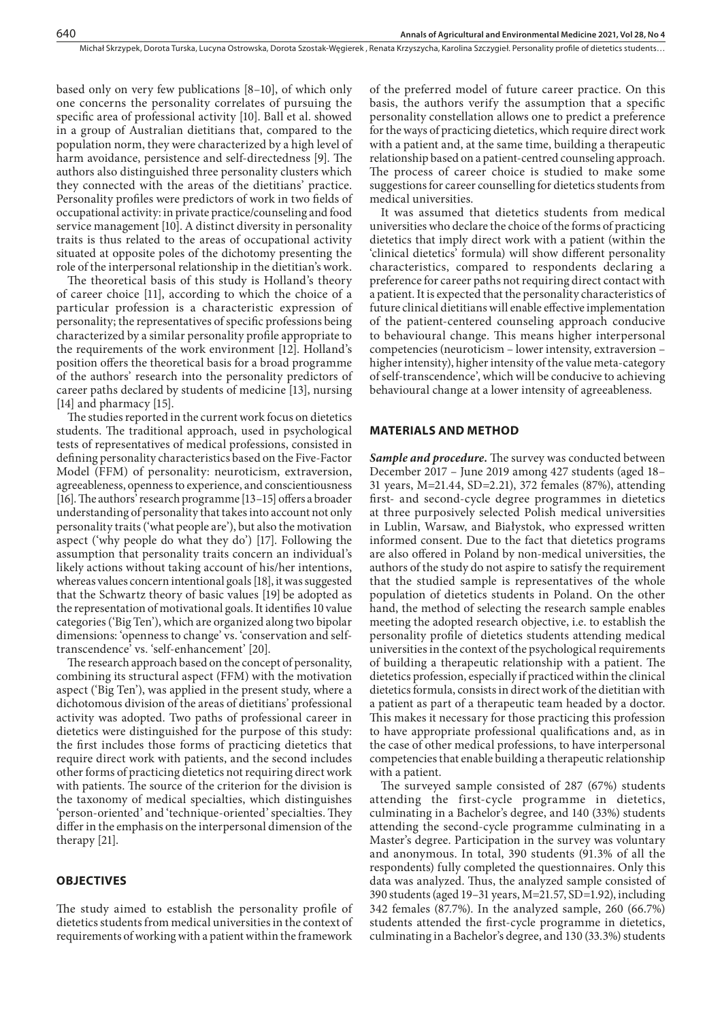based only on very few publications [8–10], of which only one concerns the personality correlates of pursuing the specific area of professional activity [10]. Ball et al. showed in a group of Australian dietitians that, compared to the population norm, they were characterized by a high level of harm avoidance, persistence and self-directedness [9]. The authors also distinguished three personality clusters which they connected with the areas of the dietitians' practice. Personality profiles were predictors of work in two fields of occupational activity: in private practice/counseling and food service management [10]. A distinct diversity in personality traits is thus related to the areas of occupational activity situated at opposite poles of the dichotomy presenting the role of the interpersonal relationship in the dietitian's work.

The theoretical basis of this study is Holland's theory of career choice [11], according to which the choice of a particular profession is a characteristic expression of personality; the representatives of specific professions being characterized by a similar personality profile appropriate to the requirements of the work environment [12]. Holland's position offers the theoretical basis for a broad programme of the authors' research into the personality predictors of career paths declared by students of medicine [13], nursing [14] and pharmacy [15].

The studies reported in the current work focus on dietetics students. The traditional approach, used in psychological tests of representatives of medical professions, consisted in defining personality characteristics based on the Five-Factor Model (FFM) of personality: neuroticism, extraversion, agreeableness, openness to experience, and conscientiousness [16]. The authors' research programme [13–15] offers a broader understanding of personality that takes into account not only personality traits ('what people are'), but also the motivation aspect ('why people do what they do') [17]. Following the assumption that personality traits concern an individual's likely actions without taking account of his/her intentions, whereas values concern intentional goals [18], it was suggested that the Schwartz theory of basic values [19] be adopted as the representation of motivational goals. It identifies 10 value categories ('Big Ten'), which are organized along two bipolar dimensions: 'openness to change' vs. 'conservation and selftranscendence' vs. 'self-enhancement' [20].

The research approach based on the concept of personality, combining its structural aspect (FFM) with the motivation aspect ('Big Ten'), was applied in the present study, where a dichotomous division of the areas of dietitians' professional activity was adopted. Two paths of professional career in dietetics were distinguished for the purpose of this study: the first includes those forms of practicing dietetics that require direct work with patients, and the second includes other forms of practicing dietetics not requiring direct work with patients. The source of the criterion for the division is the taxonomy of medical specialties, which distinguishes 'person-oriented' and 'technique-oriented' specialties. They differ in the emphasis on the interpersonal dimension of the therapy [21].

#### **OBJECTIVES**

The study aimed to establish the personality profile of dietetics students from medical universities in the context of requirements of working with a patient within the framework of the preferred model of future career practice. On this basis, the authors verify the assumption that a specific personality constellation allows one to predict a preference for the ways of practicing dietetics, which require direct work with a patient and, at the same time, building a therapeutic relationship based on a patient-centred counseling approach. The process of career choice is studied to make some suggestions for career counselling for dietetics students from medical universities.

It was assumed that dietetics students from medical universities who declare the choice of the forms of practicing dietetics that imply direct work with a patient (within the 'clinical dietetics' formula) will show different personality characteristics, compared to respondents declaring a preference for career paths not requiring direct contact with a patient. It is expected that the personality characteristics of future clinical dietitians will enable effective implementation of the patient-centered counseling approach conducive to behavioural change. This means higher interpersonal competencies (neuroticism – lower intensity, extraversion – higher intensity), higher intensity of the value meta-category of self-transcendence', which will be conducive to achieving behavioural change at a lower intensity of agreeableness.

#### **MATERIALS AND METHOD**

*Sample and procedure.* The survey was conducted between December 2017 – June 2019 among 427 students (aged 18– 31 years, M=21.44, SD=2.21), 372 females (87%), attending first- and second-cycle degree programmes in dietetics at three purposively selected Polish medical universities in Lublin, Warsaw, and Białystok, who expressed written informed consent. Due to the fact that dietetics programs are also offered in Poland by non-medical universities, the authors of the study do not aspire to satisfy the requirement that the studied sample is representatives of the whole population of dietetics students in Poland. On the other hand, the method of selecting the research sample enables meeting the adopted research objective, i.e. to establish the personality profile of dietetics students attending medical universities in the context of the psychological requirements of building a therapeutic relationship with a patient. The dietetics profession, especially if practiced within the clinical dietetics formula, consists in direct work of the dietitian with a patient as part of a therapeutic team headed by a doctor. This makes it necessary for those practicing this profession to have appropriate professional qualifications and, as in the case of other medical professions, to have interpersonal competencies that enable building a therapeutic relationship with a patient.

The surveyed sample consisted of 287 (67%) students attending the first-cycle programme in dietetics, culminating in a Bachelor's degree, and 140 (33%) students attending the second-cycle programme culminating in a Master's degree. Participation in the survey was voluntary and anonymous. In total, 390 students (91.3% of all the respondents) fully completed the questionnaires. Only this data was analyzed. Thus, the analyzed sample consisted of 390 students (aged 19–31 years, M=21.57, SD=1.92), including 342 females (87.7%). In the analyzed sample, 260 (66.7%) students attended the first-cycle programme in dietetics, culminating in a Bachelor's degree, and 130 (33.3%) students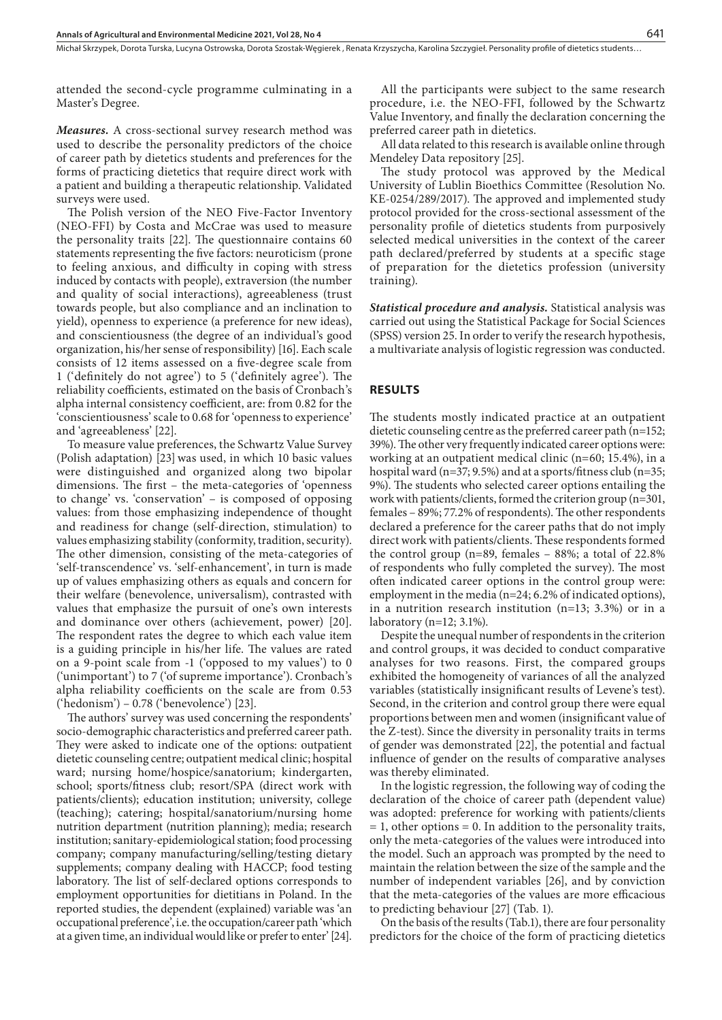Michał Skrzypek, Dorota Turska, Lucyna Ostrowska, Dorota Szostak-Węgierek , Renata Krzyszycha, Karolina Szczygieł . Personality profile of dietetics students…

attended the second-cycle programme culminating in a Master's Degree.

*Measures.* A cross-sectional survey research method was used to describe the personality predictors of the choice of career path by dietetics students and preferences for the forms of practicing dietetics that require direct work with a patient and building a therapeutic relationship. Validated surveys were used.

The Polish version of the NEO Five-Factor Inventory (NEO-FFI) by Costa and McCrae was used to measure the personality traits [22]. The questionnaire contains 60 statements representing the five factors: neuroticism (prone to feeling anxious, and difficulty in coping with stress induced by contacts with people), extraversion (the number and quality of social interactions), agreeableness (trust towards people, but also compliance and an inclination to yield), openness to experience (a preference for new ideas), and conscientiousness (the degree of an individual's good organization, his/her sense of responsibility) [16]. Each scale consists of 12 items assessed on a five-degree scale from 1 ('definitely do not agree') to 5 ('definitely agree'). The reliability coefficients, estimated on the basis of Cronbach's alpha internal consistency coefficient, are: from 0.82 for the 'conscientiousness' scale to 0.68 for 'openness to experience' and 'agreeableness' [22].

To measure value preferences, the Schwartz Value Survey (Polish adaptation) [23]was used, in which 10 basic values were distinguished and organized along two bipolar dimensions. The first – the meta-categories of 'openness to change' vs. 'conservation' – is composed of opposing values: from those emphasizing independence of thought and readiness for change (self-direction, stimulation) to values emphasizing stability (conformity, tradition, security). The other dimension, consisting of the meta-categories of 'self-transcendence' vs. 'self-enhancement', in turn is made up of values emphasizing others as equals and concern for their welfare (benevolence, universalism), contrasted with values that emphasize the pursuit of one's own interests and dominance over others (achievement, power) [20]. The respondent rates the degree to which each value item is a guiding principle in his/her life. The values are rated on a 9-point scale from -1 ('opposed to my values') to 0 ('unimportant') to 7 ('of supreme importance'). Cronbach's alpha reliability coefficients on the scale are from 0.53 ('hedonism') – 0.78 ('benevolence') [23].

The authors' survey was used concerning the respondents' socio-demographic characteristics and preferred career path. They were asked to indicate one of the options: outpatient dietetic counseling centre; outpatient medical clinic; hospital ward; nursing home/hospice/sanatorium; kindergarten, school; sports/fitness club; resort/SPA (direct work with patients/clients); education institution; university, college (teaching); catering; hospital/sanatorium/nursing home nutrition department (nutrition planning); media; research institution; sanitary-epidemiological station; food processing company; company manufacturing/selling/testing dietary supplements; company dealing with HACCP; food testing laboratory. The list of self-declared options corresponds to employment opportunities for dietitians in Poland. In the reported studies, the dependent (explained) variable was 'an occupational preference', i.e. the occupation/career path 'which at a given time, an individual would like or prefer to enter' [24].

All the participants were subject to the same research procedure, i.e. the NEO-FFI, followed by the Schwartz Value Inventory, and finally the declaration concerning the preferred career path in dietetics.

All data related to this research is available online through Mendeley Data repository [25].

The study protocol was approved by the Medical University of Lublin Bioethics Committee (Resolution No. KE-0254/289/2017). The approved and implemented study protocol provided for the cross-sectional assessment of the personality profile of dietetics students from purposively selected medical universities in the context of the career path declared/preferred by students at a specific stage of preparation for the dietetics profession (university training).

*Statistical procedure and analysis.* Statistical analysis was carried out using the Statistical Package for Social Sciences (SPSS) version 25. In order to verify the research hypothesis, a multivariate analysis of logistic regression was conducted.

#### **RESULTS**

The students mostly indicated practice at an outpatient dietetic counseling centre as the preferred career path (n=152; 39%). The other very frequently indicated career options were: working at an outpatient medical clinic (n=60; 15.4%), in a hospital ward (n=37; 9.5%) and at a sports/fitness club (n=35; 9%). The students who selected career options entailing the work with patients/clients, formed the criterion group (n=301, females – 89%; 77.2% of respondents). The other respondents declared a preference for the career paths that do not imply direct work with patients/clients. These respondents formed the control group (n=89, females  $-$  88%; a total of 22.8% of respondents who fully completed the survey). The most often indicated career options in the control group were: employment in the media (n=24; 6.2% of indicated options), in a nutrition research institution (n=13; 3.3%) or in a laboratory (n=12; 3.1%).

Despite the unequal number of respondents in the criterion and control groups, it was decided to conduct comparative analyses for two reasons. First, the compared groups exhibited the homogeneity of variances of all the analyzed variables (statistically insignificant results of Levene's test). Second, in the criterion and control group there were equal proportions between men and women (insignificant value of the Z-test). Since the diversity in personality traits in terms of gender was demonstrated [22], the potential and factual influence of gender on the results of comparative analyses was thereby eliminated.

In the logistic regression, the following way of coding the declaration of the choice of career path (dependent value) was adopted: preference for working with patients/clients  $= 1$ , other options  $= 0$ . In addition to the personality traits, only the meta-categories of the values were introduced into the model. Such an approach was prompted by the need to maintain the relation between the size of the sample and the number of independent variables [26], and by conviction that the meta-categories of the values are more efficacious to predicting behaviour [27] (Tab. 1).

On the basis of the results (Tab.1), there are four personality predictors for the choice of the form of practicing dietetics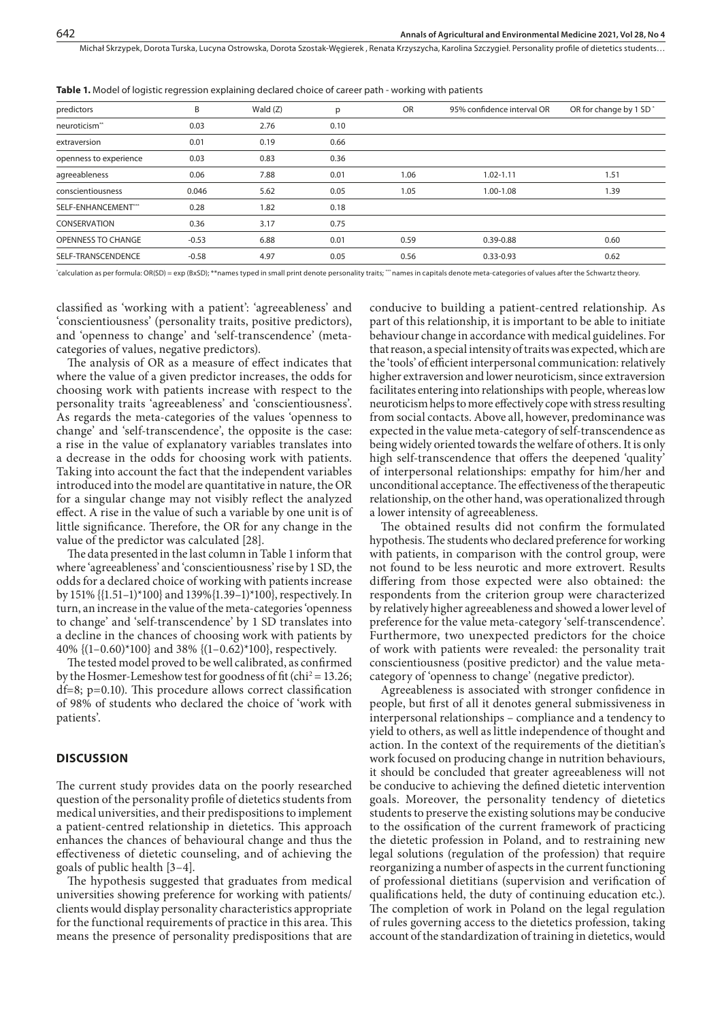Michał Skrzypek, Dorota Turska, Lucyna Ostrowska, Dorota Szostak-Węgierek , Renata Krzyszycha, Karolina Szczygieł . Personality profile of dietetics students…

| predictors                | B       | Wald $(Z)$ | p    | <b>OR</b> | 95% confidence interval OR | OR for change by 1 SD <sup>*</sup> |
|---------------------------|---------|------------|------|-----------|----------------------------|------------------------------------|
| neuroticism <sup>**</sup> | 0.03    | 2.76       | 0.10 |           |                            |                                    |
| extraversion              | 0.01    | 0.19       | 0.66 |           |                            |                                    |
| openness to experience    | 0.03    | 0.83       | 0.36 |           |                            |                                    |
| agreeableness             | 0.06    | 7.88       | 0.01 | 1.06      | $1.02 - 1.11$              | 1.51                               |
| conscientiousness         | 0.046   | 5.62       | 0.05 | 1.05      | 1.00-1.08                  | 1.39                               |
| SELF-ENHANCEMENT***       | 0.28    | 1.82       | 0.18 |           |                            |                                    |
| CONSERVATION              | 0.36    | 3.17       | 0.75 |           |                            |                                    |
| <b>OPENNESS TO CHANGE</b> | $-0.53$ | 6.88       | 0.01 | 0.59      | 0.39-0.88                  | 0.60                               |
| SELF-TRANSCENDENCE        | $-0.58$ | 4.97       | 0.05 | 0.56      | $0.33 - 0.93$              | 0.62                               |
|                           |         |            |      |           |                            |                                    |

**Table 1.** Model of logistic regression explaining declared choice of career path - working with patients

\* calculation as per formula: OR(SD) = exp (BxSD); \*\*names typed in small print denote personality traits; \*\*\* names in capitals denote meta-categories of values after the Schwartz theory.

classified as 'working with a patient': 'agreeableness' and 'conscientiousness' (personality traits, positive predictors), and 'openness to change' and 'self-transcendence' (metacategories of values, negative predictors).

The analysis of OR as a measure of effect indicates that where the value of a given predictor increases, the odds for choosing work with patients increase with respect to the personality traits 'agreeableness' and 'conscientiousness'. As regards the meta-categories of the values 'openness to change' and 'self-transcendence', the opposite is the case: a rise in the value of explanatory variables translates into a decrease in the odds for choosing work with patients. Taking into account the fact that the independent variables introduced into the model are quantitative in nature, the OR for a singular change may not visibly reflect the analyzed effect. A rise in the value of such a variable by one unit is of little significance. Therefore, the OR for any change in the value of the predictor was calculated [28].

The data presented in the last column in Table 1 inform that where 'agreeableness' and 'conscientiousness' rise by 1 SD, the odds for a declared choice of working with patients increase by 151% {{1.51–1)\*100} and 139%{1.39–1)\*100}, respectively. In turn, an increase in the value of the meta-categories 'openness to change' and 'self-transcendence' by 1 SD translates into a decline in the chances of choosing work with patients by 40%  $\{(1-0.60)^*100\}$  and 38%  $\{(1-0.62)^*100\}$ , respectively.

The tested model proved to be well calibrated, as confirmed by the Hosmer-Lemeshow test for goodness of fit (chi<sup>2</sup> = 13.26; df=8; p=0.10). This procedure allows correct classification of 98% of students who declared the choice of 'work with patients'.

# **DISCUSSION**

The current study provides data on the poorly researched question of the personality profile of dietetics students from medical universities, and their predispositions to implement a patient-centred relationship in dietetics. This approach enhances the chances of behavioural change and thus the effectiveness of dietetic counseling, and of achieving the goals of public health [3–4].

The hypothesis suggested that graduates from medical universities showing preference for working with patients/ clients would display personality characteristics appropriate for the functional requirements of practice in this area. This means the presence of personality predispositions that are

conducive to building a patient-centred relationship. As part of this relationship, it is important to be able to initiate behaviour change in accordance with medical guidelines. For that reason, a special intensity of traits was expected, which are the 'tools' of efficient interpersonal communication: relatively higher extraversion and lower neuroticism, since extraversion facilitates entering into relationships with people, whereas low neuroticism helps to more effectively cope with stress resulting from social contacts. Above all, however, predominance was expected in the value meta-category of self-transcendence as being widely oriented towards the welfare of others. It is only high self-transcendence that offers the deepened 'quality' of interpersonal relationships: empathy for him/her and unconditional acceptance. The effectiveness of the therapeutic relationship, on the other hand, was operationalized through a lower intensity of agreeableness.

The obtained results did not confirm the formulated hypothesis. The students who declared preference for working with patients, in comparison with the control group, were not found to be less neurotic and more extrovert. Results differing from those expected were also obtained: the respondents from the criterion group were characterized by relatively higher agreeableness and showed a lower level of preference for the value meta-category 'self-transcendence'. Furthermore, two unexpected predictors for the choice of work with patients were revealed: the personality trait conscientiousness (positive predictor) and the value metacategory of 'openness to change' (negative predictor).

Agreeableness is associated with stronger confidence in people, but first of all it denotes general submissiveness in interpersonal relationships – compliance and a tendency to yield to others, as well as little independence of thought and action. In the context of the requirements of the dietitian's work focused on producing change in nutrition behaviours, it should be concluded that greater agreeableness will not be conducive to achieving the defined dietetic intervention goals. Moreover, the personality tendency of dietetics students to preserve the existing solutions may be conducive to the ossification of the current framework of practicing the dietetic profession in Poland, and to restraining new legal solutions (regulation of the profession) that require reorganizing a number of aspects in the current functioning of professional dietitians (supervision and verification of qualifications held, the duty of continuing education etc.). The completion of work in Poland on the legal regulation of rules governing access to the dietetics profession, taking account of the standardization of training in dietetics, would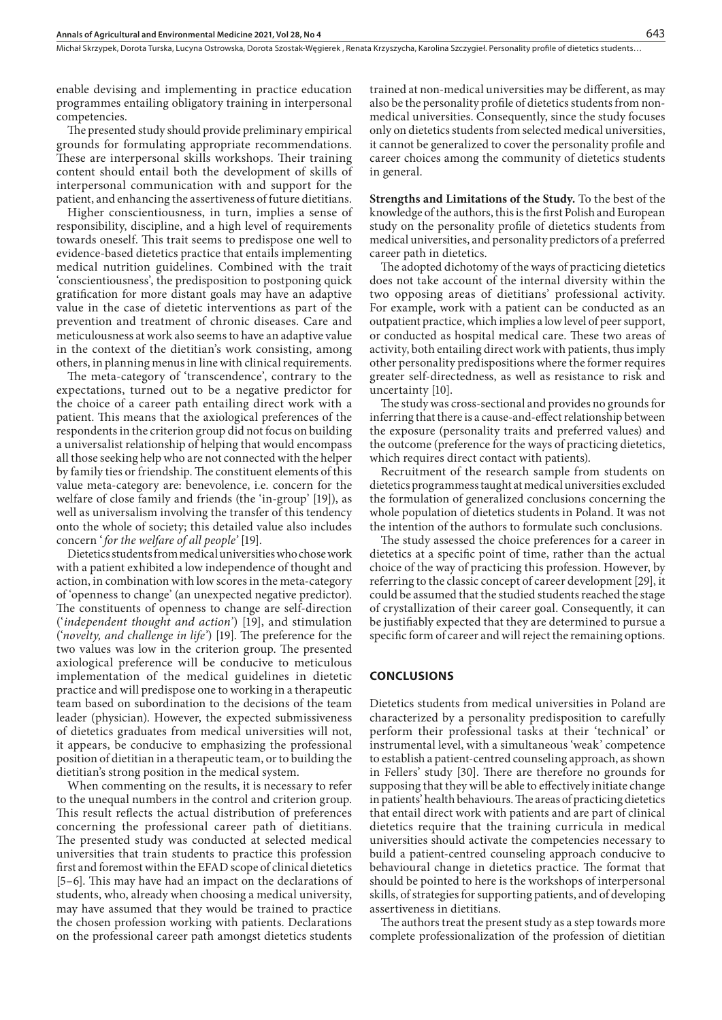Michał Skrzypek, Dorota Turska, Lucyna Ostrowska, Dorota Szostak-Węgierek , Renata Krzyszycha, Karolina Szczygieł . Personality profile of dietetics students…

enable devising and implementing in practice education programmes entailing obligatory training in interpersonal competencies.

The presented study should provide preliminary empirical grounds for formulating appropriate recommendations. These are interpersonal skills workshops. Their training content should entail both the development of skills of interpersonal communication with and support for the patient, and enhancing the assertiveness of future dietitians.

Higher conscientiousness, in turn, implies a sense of responsibility, discipline, and a high level of requirements towards oneself. This trait seems to predispose one well to evidence-based dietetics practice that entails implementing medical nutrition guidelines. Combined with the trait 'conscientiousness', the predisposition to postponing quick gratification for more distant goals may have an adaptive value in the case of dietetic interventions as part of the prevention and treatment of chronic diseases. Care and meticulousness at work also seems to have an adaptive value in the context of the dietitian's work consisting, among others, in planning menus in line with clinical requirements.

The meta-category of 'transcendence', contrary to the expectations, turned out to be a negative predictor for the choice of a career path entailing direct work with a patient. This means that the axiological preferences of the respondents in the criterion group did not focus on building a universalist relationship of helping that would encompass all those seeking help who are not connected with the helper by family ties or friendship. The constituent elements of this value meta-category are: benevolence, i.e. concern for the welfare of close family and friends (the 'in-group' [19]), as well as universalism involving the transfer of this tendency onto the whole of society; this detailed value also includes concern '*for the welfare of all people'* [19].

Dietetics students from medical universities who chose work with a patient exhibited a low independence of thought and action, in combination with low scores in the meta-category of 'openness to change' (an unexpected negative predictor). The constituents of openness to change are self-direction ('*independent thought and action'*) [19], and stimulation ('*novelty, and challenge in life'*) [19]. The preference for the two values was low in the criterion group. The presented axiological preference will be conducive to meticulous implementation of the medical guidelines in dietetic practice and will predispose one to working in a therapeutic team based on subordination to the decisions of the team leader (physician). However, the expected submissiveness of dietetics graduates from medical universities will not, it appears, be conducive to emphasizing the professional position of dietitian in a therapeutic team, or to building the dietitian's strong position in the medical system.

When commenting on the results, it is necessary to refer to the unequal numbers in the control and criterion group. This result reflects the actual distribution of preferences concerning the professional career path of dietitians. The presented study was conducted at selected medical universities that train students to practice this profession first and foremost within the EFAD scope of clinical dietetics [5–6]. This may have had an impact on the declarations of students, who, already when choosing a medical university, may have assumed that they would be trained to practice the chosen profession working with patients. Declarations on the professional career path amongst dietetics students

trained at non-medical universities may be different, as may also be the personality profile of dietetics students from nonmedical universities. Consequently, since the study focuses only on dietetics students from selected medical universities, it cannot be generalized to cover the personality profile and career choices among the community of dietetics students in general.

**Strengths and Limitations of the Study.** To the best of the knowledge of the authors, this is the first Polish and European study on the personality profile of dietetics students from medical universities, and personality predictors of a preferred career path in dietetics.

The adopted dichotomy of the ways of practicing dietetics does not take account of the internal diversity within the two opposing areas of dietitians' professional activity. For example, work with a patient can be conducted as an outpatient practice, which implies a low level of peer support, or conducted as hospital medical care. These two areas of activity, both entailing direct work with patients, thus imply other personality predispositions where the former requires greater self-directedness, as well as resistance to risk and uncertainty [10].

The study was cross-sectional and provides no grounds for inferring that there is a cause-and-effect relationship between the exposure (personality traits and preferred values) and the outcome (preference for the ways of practicing dietetics, which requires direct contact with patients).

Recruitment of the research sample from students on dietetics programmess taught at medical universities excluded the formulation of generalized conclusions concerning the whole population of dietetics students in Poland. It was not the intention of the authors to formulate such conclusions.

The study assessed the choice preferences for a career in dietetics at a specific point of time, rather than the actual choice of the way of practicing this profession. However, by referring to the classic concept of career development [29], it could be assumed that the studied students reached the stage of crystallization of their career goal. Consequently, it can be justifiably expected that they are determined to pursue a specific form of career and will reject the remaining options.

### **CONCLUSIONS**

Dietetics students from medical universities in Poland are characterized by a personality predisposition to carefully perform their professional tasks at their 'technical' or instrumental level, with a simultaneous 'weak' competence to establish a patient-centred counseling approach, as shown in Fellers' study [30]. There are therefore no grounds for supposing that they will be able to effectively initiate change in patients' health behaviours. The areas of practicing dietetics that entail direct work with patients and are part of clinical dietetics require that the training curricula in medical universities should activate the competencies necessary to build a patient-centred counseling approach conducive to behavioural change in dietetics practice. The format that should be pointed to here is the workshops of interpersonal skills, of strategies for supporting patients, and of developing assertiveness in dietitians.

The authors treat the present study as a step towards more complete professionalization of the profession of dietitian